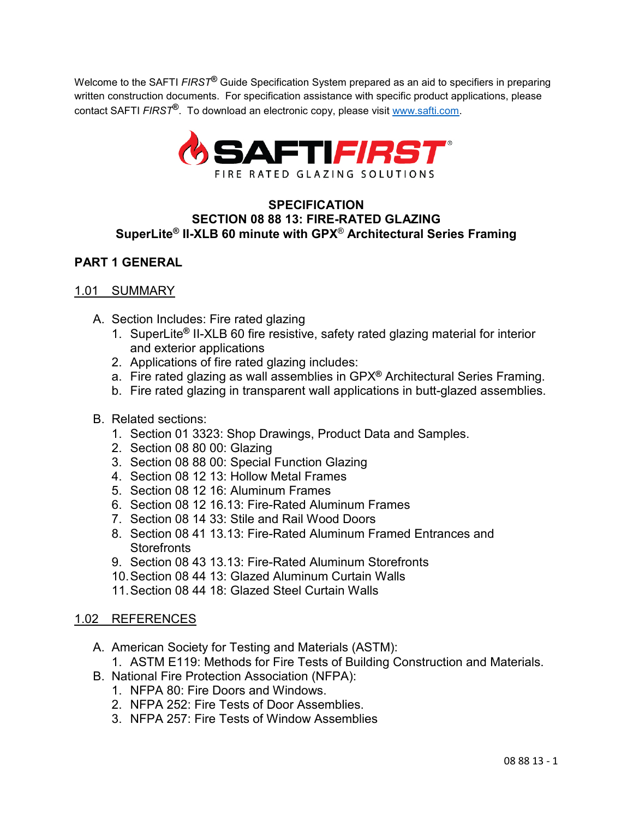Welcome to the SAFTI *FIRST***®** Guide Specification System prepared as an aid to specifiers in preparing written construction documents. For specification assistance with specific product applications, please contact SAFTI *FIRST***®**. To download an electronic copy, please visit [www.safti.com.](http://www.safti.com/)



# **SPECIFICATION SECTION 08 88 13: FIRE-RATED GLAZING SuperLite® II-XLB 60 minute with GPX**® **Architectural Series Framing**

# **PART 1 GENERAL**

### 1.01 SUMMARY

- A. Section Includes: Fire rated glazing
	- 1. SuperLite**®** II-XLB 60 fire resistive, safety rated glazing material for interior and exterior applications
	- 2. Applications of fire rated glazing includes:
	- a. Fire rated glazing as wall assemblies in GPX**®** Architectural Series Framing.
	- b. Fire rated glazing in transparent wall applications in butt-glazed assemblies.

# B. Related sections:

- 1. Section 01 3323: Shop Drawings, Product Data and Samples.
- 2. Section 08 80 00: Glazing
- 3. Section 08 88 00: Special Function Glazing
- 4. Section 08 12 13: Hollow Metal Frames
- 5. Section 08 12 16: Aluminum Frames
- 6. Section 08 12 16.13: Fire-Rated Aluminum Frames
- 7. Section 08 14 33: Stile and Rail Wood Doors
- 8. Section 08 41 13.13: Fire-Rated Aluminum Framed Entrances and **Storefronts**
- 9. Section 08 43 13.13: Fire-Rated Aluminum Storefronts
- 10.Section 08 44 13: Glazed Aluminum Curtain Walls
- 11.Section 08 44 18: Glazed Steel Curtain Walls

# 1.02 REFERENCES

A. American Society for Testing and Materials (ASTM):

1. ASTM E119: Methods for Fire Tests of Building Construction and Materials.

- B. National Fire Protection Association (NFPA):
	- 1. NFPA 80: Fire Doors and Windows.
	- 2. NFPA 252: Fire Tests of Door Assemblies.
	- 3. NFPA 257: Fire Tests of Window Assemblies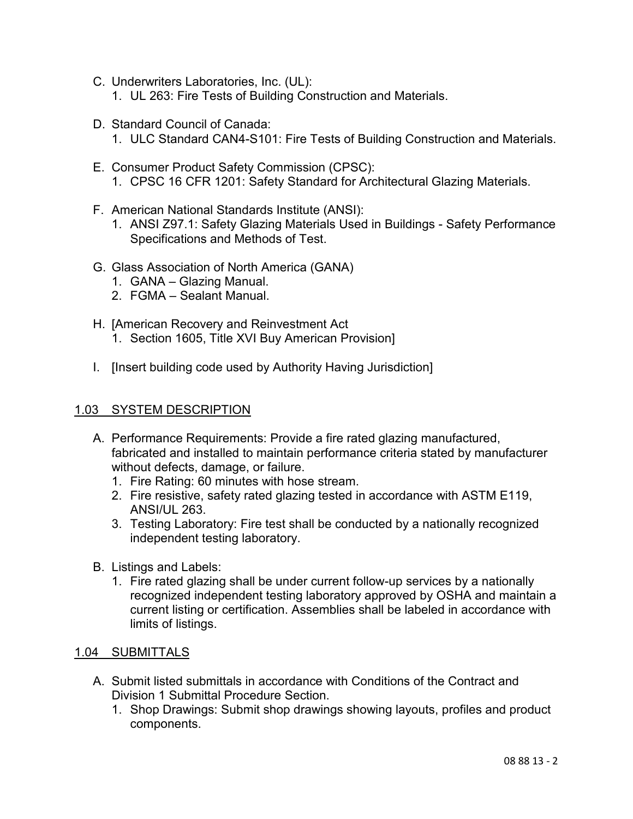- C. Underwriters Laboratories, Inc. (UL):
	- 1. UL 263: Fire Tests of Building Construction and Materials.
- D. Standard Council of Canada:
	- 1. ULC Standard CAN4-S101: Fire Tests of Building Construction and Materials.
- E. Consumer Product Safety Commission (CPSC): 1. CPSC 16 CFR 1201: Safety Standard for Architectural Glazing Materials.
- F. American National Standards Institute (ANSI):
	- 1. ANSI Z97.1: Safety Glazing Materials Used in Buildings Safety Performance Specifications and Methods of Test.
- G. Glass Association of North America (GANA)
	- 1. GANA Glazing Manual.
	- 2. FGMA Sealant Manual.
- H. [American Recovery and Reinvestment Act 1. Section 1605, Title XVI Buy American Provision]
- I. [Insert building code used by Authority Having Jurisdiction]

### 1.03 SYSTEM DESCRIPTION

- A. Performance Requirements: Provide a fire rated glazing manufactured, fabricated and installed to maintain performance criteria stated by manufacturer without defects, damage, or failure.
	- 1. Fire Rating: 60 minutes with hose stream.
	- 2. Fire resistive, safety rated glazing tested in accordance with ASTM E119, ANSI/UL 263.
	- 3. Testing Laboratory: Fire test shall be conducted by a nationally recognized independent testing laboratory.
- B. Listings and Labels:
	- 1. Fire rated glazing shall be under current follow-up services by a nationally recognized independent testing laboratory approved by OSHA and maintain a current listing or certification. Assemblies shall be labeled in accordance with limits of listings.

# 1.04 SUBMITTALS

- A. Submit listed submittals in accordance with Conditions of the Contract and Division 1 Submittal Procedure Section.
	- 1. Shop Drawings: Submit shop drawings showing layouts, profiles and product components.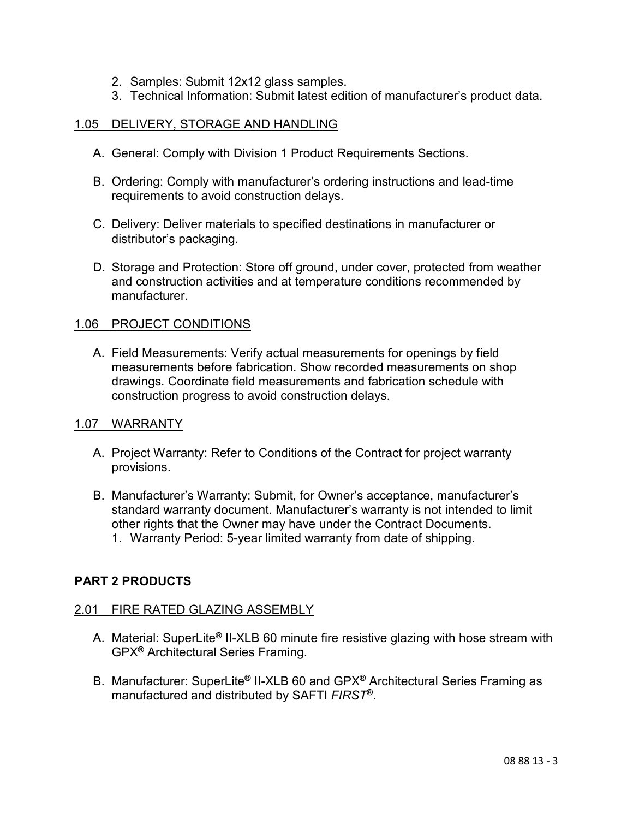- 2. Samples: Submit 12x12 glass samples.
- 3. Technical Information: Submit latest edition of manufacturer's product data.

# 1.05 DELIVERY, STORAGE AND HANDLING

- A. General: Comply with Division 1 Product Requirements Sections.
- B. Ordering: Comply with manufacturer's ordering instructions and lead-time requirements to avoid construction delays.
- C. Delivery: Deliver materials to specified destinations in manufacturer or distributor's packaging.
- D. Storage and Protection: Store off ground, under cover, protected from weather and construction activities and at temperature conditions recommended by manufacturer.

# 1.06 PROJECT CONDITIONS

A. Field Measurements: Verify actual measurements for openings by field measurements before fabrication. Show recorded measurements on shop drawings. Coordinate field measurements and fabrication schedule with construction progress to avoid construction delays.

#### 1.07 WARRANTY

**PART 2 PRODUCTS**

- A. Project Warranty: Refer to Conditions of the Contract for project warranty provisions.
- B. Manufacturer's Warranty: Submit, for Owner's acceptance, manufacturer's standard warranty document. Manufacturer's warranty is not intended to limit other rights that the Owner may have under the Contract Documents. 1. Warranty Period: 5-year limited warranty from date of shipping.
- 

# 2.01 FIRE RATED GLAZING ASSEMBLY

- A. Material: SuperLite**®** II-XLB 60 minute fire resistive glazing with hose stream with GPX**®** Architectural Series Framing.
- B. Manufacturer: SuperLite**®** II-XLB 60 and GPX**®** Architectural Series Framing as manufactured and distributed by SAFTI *FIRST***®**.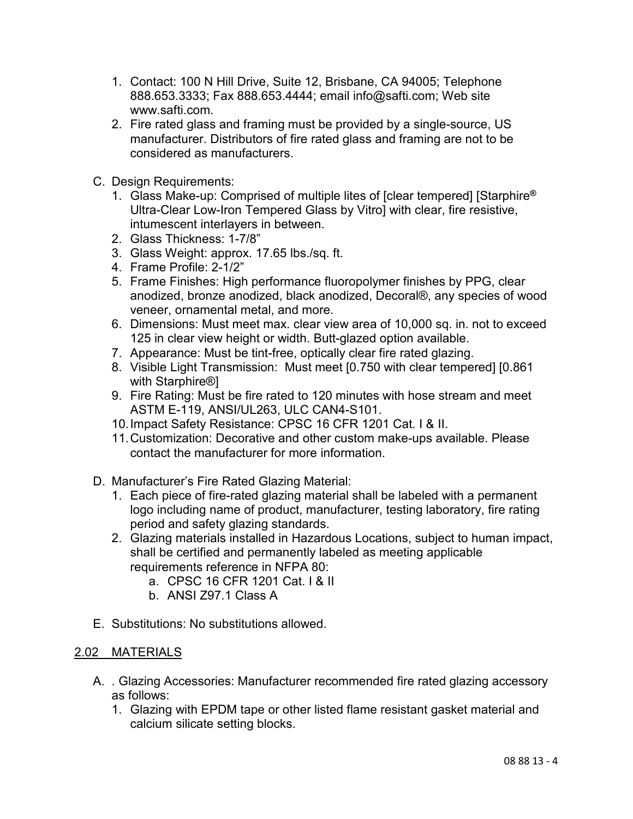- 1. Contact: 100 N Hill Drive, Suite 12, Brisbane, CA 94005; Telephone 888.653.3333; Fax 888.653.4444; email info@safti.com; Web site www.safti.com.
- 2. Fire rated glass and framing must be provided by a single-source, US manufacturer. Distributors of fire rated glass and framing are not to be considered as manufacturers.
- C. Design Requirements:
	- 1. Glass Make-up: Comprised of multiple lites of [clear tempered] [Starphire**®** Ultra-Clear Low-Iron Tempered Glass by Vitro] with clear, fire resistive, intumescent interlayers in between.
	- 2. Glass Thickness: 1-7/8"
	- 3. Glass Weight: approx. 17.65 lbs./sq. ft.
	- 4. Frame Profile: 2-1/2"
	- 5. Frame Finishes: High performance fluoropolymer finishes by PPG, clear anodized, bronze anodized, black anodized, Decoral®, any species of wood veneer, ornamental metal, and more.
	- 6. Dimensions: Must meet max. clear view area of 10,000 sq. in. not to exceed 125 in clear view height or width. Butt-glazed option available.
	- 7. Appearance: Must be tint-free, optically clear fire rated glazing.
	- 8. Visible Light Transmission: Must meet [0.750 with clear tempered] [0.861 with Starphire®]
	- 9. Fire Rating: Must be fire rated to 120 minutes with hose stream and meet ASTM E-119, ANSI/UL263, ULC CAN4-S101.
	- 10.Impact Safety Resistance: CPSC 16 CFR 1201 Cat. I & II.
	- 11.Customization: Decorative and other custom make-ups available. Please contact the manufacturer for more information.
- D. Manufacturer's Fire Rated Glazing Material:
	- 1. Each piece of fire-rated glazing material shall be labeled with a permanent logo including name of product, manufacturer, testing laboratory, fire rating period and safety glazing standards.
	- 2. Glazing materials installed in Hazardous Locations, subject to human impact, shall be certified and permanently labeled as meeting applicable requirements reference in NFPA 80:
		- a. CPSC 16 CFR 1201 Cat. I & II
		- b. ANSI Z97.1 Class A
- E. Substitutions: No substitutions allowed.

# 2.02 MATERIALS

- A. . Glazing Accessories: Manufacturer recommended fire rated glazing accessory as follows:
	- 1. Glazing with EPDM tape or other listed flame resistant gasket material and calcium silicate setting blocks.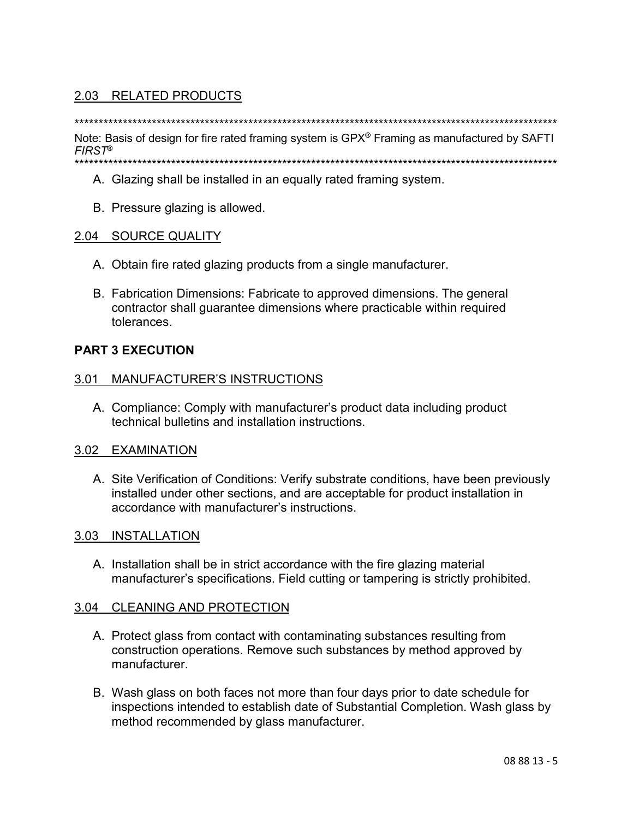# 2.03 RELATED PRODUCTS

Note: Basis of design for fire rated framing system is GPX<sup>®</sup> Framing as manufactured by SAFTI  $FIRST^{\circledR}$ \*\*\*\*\*\*\*\*

- A. Glazing shall be installed in an equally rated framing system.
- B. Pressure glazing is allowed.

# 2.04 SOURCE QUALITY

- A. Obtain fire rated glazing products from a single manufacturer.
- B. Fabrication Dimensions: Fabricate to approved dimensions. The general contractor shall guarantee dimensions where practicable within required tolerances.

# **PART 3 EXECUTION**

# 3.01 MANUFACTURER'S INSTRUCTIONS

A. Compliance: Comply with manufacturer's product data including product technical bulletins and installation instructions.

# 3.02 EXAMINATION

A. Site Verification of Conditions: Verify substrate conditions, have been previously installed under other sections, and are acceptable for product installation in accordance with manufacturer's instructions.

# 3.03 INSTALLATION

A. Installation shall be in strict accordance with the fire glazing material manufacturer's specifications. Field cutting or tampering is strictly prohibited.

# 3.04 CLEANING AND PROTECTION

- A. Protect glass from contact with contaminating substances resulting from construction operations. Remove such substances by method approved by manufacturer.
- B. Wash glass on both faces not more than four days prior to date schedule for inspections intended to establish date of Substantial Completion. Wash glass by method recommended by glass manufacturer.